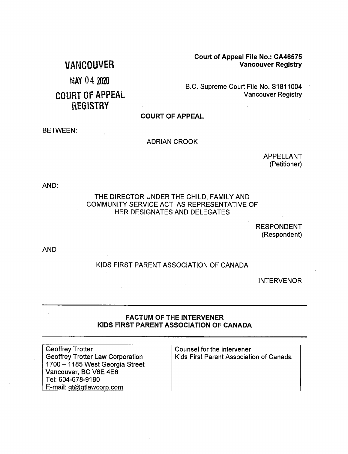**Court of Appeal File No.: CA46575 Vancouver Registry** 

# **VANCOUVER**

MAY 04 2020

# **COURT OF APPEAL REGISTRY**

### B.C. Supreme Court File No. S1811004 **Vancouver Registry**

**COURT OF APPEAL** 

#### **BETWEEN:**

#### **ADRIAN CROOK**

**APPELLANT** (Petitioner)

AND:

#### THE DIRECTOR UNDER THE CHILD, FAMILY AND COMMUNITY SERVICE ACT, AS REPRESENTATIVE OF HER DESIGNATES AND DELEGATES

**RESPONDENT** (Respondent)

**AND** 

### KIDS FIRST PARENT ASSOCIATION OF CANADA

**INTERVENOR** 

### **FACTUM OF THE INTERVENER** KIDS FIRST PARENT ASSOCIATION OF CANADA

| <b>Geoffrey Trotter</b>                 | Counsel for the intervener              |
|-----------------------------------------|-----------------------------------------|
| <b>Geoffrey Trotter Law Corporation</b> | Kids First Parent Association of Canada |
| 1700 - 1185 West Georgia Street         |                                         |
| Vancouver, BC V6E 4E6                   |                                         |
| Tel: 604-678-9190                       |                                         |
| E-mail: gt@gtlawcorp.com                |                                         |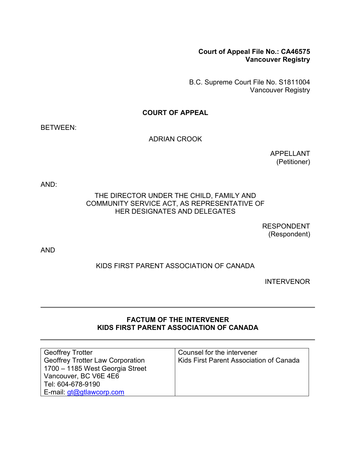## **Court of Appeal File No.: CA46575 Vancouver Registry**

B.C. Supreme Court File No. S1811004 Vancouver Registry

## **COURT OF APPEAL**

BETWEEN:

## ADRIAN CROOK

APPELLANT (Petitioner)

AND:

## THE DIRECTOR UNDER THE CHILD, FAMILY AND COMMUNITY SERVICE ACT, AS REPRESENTATIVE OF HER DESIGNATES AND DELEGATES

RESPONDENT (Respondent)

AND

# KIDS FIRST PARENT ASSOCIATION OF CANADA

INTERVENOR

## **FACTUM OF THE INTERVENER KIDS FIRST PARENT ASSOCIATION OF CANADA**

| <b>Geoffrey Trotter</b>                 | Counsel for the intervener              |
|-----------------------------------------|-----------------------------------------|
| <b>Geoffrey Trotter Law Corporation</b> | Kids First Parent Association of Canada |
| 1700 - 1185 West Georgia Street         |                                         |
| Vancouver, BC V6E 4E6                   |                                         |
| Tel: 604-678-9190                       |                                         |
| E-mail: $gt@q$ tlawcorp.com             |                                         |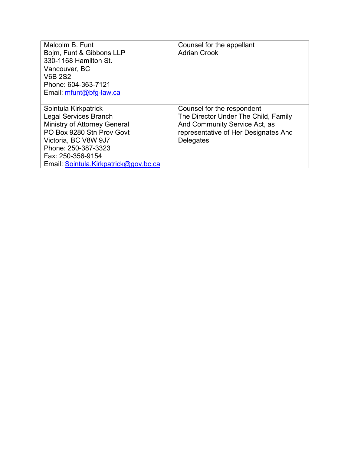| Malcolm B. Funt                       | Counsel for the appellant            |
|---------------------------------------|--------------------------------------|
| Bojm, Funt & Gibbons LLP              | <b>Adrian Crook</b>                  |
| 330-1168 Hamilton St.                 |                                      |
| Vancouver, BC                         |                                      |
| <b>V6B 2S2</b>                        |                                      |
| Phone: 604-363-7121                   |                                      |
| Email: mfunt@bfg-law.ca               |                                      |
|                                       |                                      |
| Sointula Kirkpatrick                  | Counsel for the respondent           |
| <b>Legal Services Branch</b>          | The Director Under The Child, Family |
| Ministry of Attorney General          | And Community Service Act, as        |
| PO Box 9280 Stn Prov Govt             | representative of Her Designates And |
| Victoria, BC V8W 9J7                  | <b>Delegates</b>                     |
| Phone: 250-387-3323                   |                                      |
| Fax: 250-356-9154                     |                                      |
| Email: Sointula.Kirkpatrick@gov.bc.ca |                                      |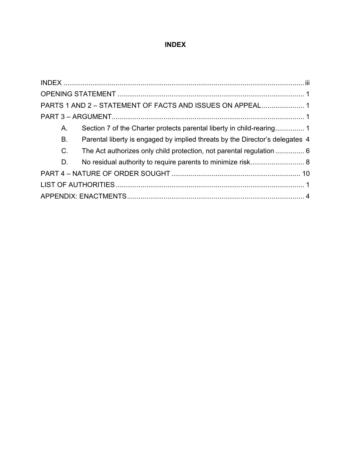# **INDEX**

<span id="page-3-0"></span>

| PARTS 1 AND 2 - STATEMENT OF FACTS AND ISSUES ON APPEAL 1                           |
|-------------------------------------------------------------------------------------|
|                                                                                     |
| $A_{\cdot}$                                                                         |
| Parental liberty is engaged by implied threats by the Director's delegates 4<br>В.  |
| $C_{\cdot}$<br>The Act authorizes only child protection, not parental regulation  6 |
| D.                                                                                  |
|                                                                                     |
|                                                                                     |
|                                                                                     |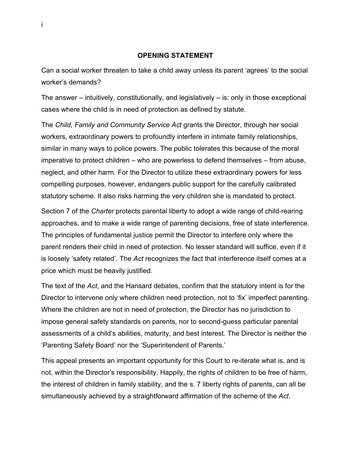#### **OPENING STATEMENT**

<span id="page-4-0"></span>Can a social worker threaten to take a child away unless its parent 'agrees' to the social worker's demands?

The answer – intuitively, constitutionally, and legislatively – is: only in those exceptional cases where the child is in need of protection as defined by statute.

The *Child, Family and Community Service Act* grants the Director, through her social workers, extraordinary powers to profoundly interfere in intimate family relationships, similar in many ways to police powers. The public tolerates this because of the moral imperative to protect children – who are powerless to defend themselves – from abuse, neglect, and other harm. For the Director to utilize these extraordinary powers for less compelling purposes, however, endangers public support for the carefully calibrated statutory scheme. It also risks harming the very children she is mandated to protect.

Section 7 of the *Charter* protects parental liberty to adopt a wide range of child-rearing approaches, and to make a wide range of parenting decisions, free of state interference. The principles of fundamental justice permit the Director to interfere only where the parent renders their child in need of protection. No lesser standard will suffice, even if it is loosely 'safety related'. The *Act* recognizes the fact that interference itself comes at a price which must be heavily justified.

The text of the *Act*, and the Hansard debates, confirm that the statutory intent is for the Director to intervene only where children need protection, not to 'fix' imperfect parenting. Where the children are not in need of protection, the Director has no jurisdiction to impose general safety standards on parents, nor to second-guess particular parental assessments of a child's abilities, maturity, and best interest. The Director is neither the 'Parenting Safety Board' nor the 'Superintendent of Parents.'

This appeal presents an important opportunity for this Court to re-iterate what is, and is not, within the Director's responsibility. Happily, the rights of children to be free of harm, the interest of children in family stability, and the s. 7 liberty rights of parents, can all be simultaneously achieved by a straightforward affirmation of the scheme of the *Act*.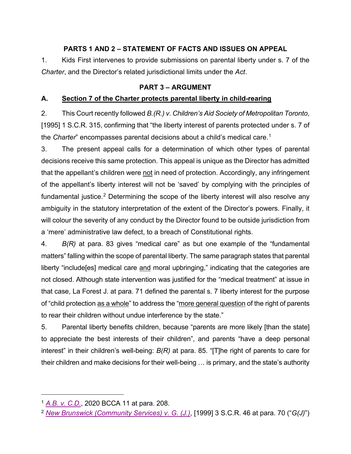# **PARTS 1 AND 2 – STATEMENT OF FACTS AND ISSUES ON APPEAL**

<span id="page-5-0"></span>1. Kids First intervenes to provide submissions on parental liberty under s. 7 of the *Charter*, and the Director's related jurisdictional limits under the *Act*.

# **PART 3 – ARGUMENT**

# <span id="page-5-2"></span><span id="page-5-1"></span>**A. Section 7 of the Charter protects parental liberty in child-rearing**

2. This Court recently followed *B.(R.) v. Children's Aid Society of Metropolitan Toronto*, [1995] 1 S.C.R. 315, confirming that "the liberty interest of parents protected under s. 7 of the *Charter*" encompasses parental decisions about a child's medical care.[1](#page-5-3)

3. The present appeal calls for a determination of which other types of parental decisions receive this same protection. This appeal is unique as the Director has admitted that the appellant's children were not in need of protection. Accordingly, any infringement of the appellant's liberty interest will not be 'saved' by complying with the principles of fundamental justice.<sup>[2](#page-5-4)</sup> Determining the scope of the liberty interest will also resolve any ambiguity in the statutory interpretation of the extent of the Director's powers. Finally, it will colour the severity of any conduct by the Director found to be outside jurisdiction from a 'mere' administrative law defect, to a breach of Constitutional rights.

4. *B(R)* at para. 83 gives "medical care" as but one example of the "fundamental matters" falling within the scope of parental liberty. The same paragraph states that parental liberty "include [es] medical care and moral upbringing," indicating that the categories are not closed. Although state intervention was justified for the "medical treatment" at issue in that case, La Forest J. at para. 71 defined the parental s. 7 liberty interest for the purpose of "child protection as a whole" to address the "more general question of the right of parents to rear their children without undue interference by the state."

5. Parental liberty benefits children, because "parents are more likely [than the state] to appreciate the best interests of their children", and parents "have a deep personal interest" in their children's well-being: *B(R)* at para. 85. "[T]he right of parents to care for their children and make decisions for their well-being … is primary, and the state's authority

<span id="page-5-3"></span><sup>1</sup> *[A.B. v. C.D.](http://canlii.ca/t/j4gnl)*, 2020 BCCA 11 at para. 208.

<span id="page-5-4"></span><sup>2</sup> *[New Brunswick \(Community Services\) v. G. \(J.\)](https://scc-csc.lexum.com/scc-csc/scc-csc/en/item/1725/index.do)*, [1999] 3 S.C.R. 46 at para. 70 ("*G(J)*")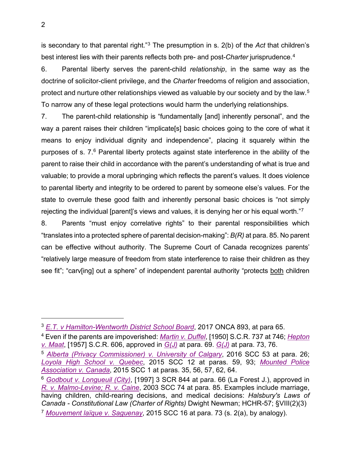is secondary to that parental right."[3](#page-6-0) The presumption in s. 2(b) of the *Act* that children's best interest lies with their parents reflects both pre- and post-*Charter* jurisprudence.[4](#page-6-1)

6. Parental liberty serves the parent-child *relationship*, in the same way as the doctrine of solicitor-client privilege, and the *Charter* freedoms of religion and association, protect and nurture other relationships viewed as valuable by our society and by the law.<sup>[5](#page-6-2)</sup> To narrow any of these legal protections would harm the underlying relationships.

7. The parent-child relationship is "fundamentally [and] inherently personal", and the way a parent raises their children "implicate[s] basic choices going to the core of what it means to enjoy individual dignity and independence", placing it squarely within the purposes of s. 7.[6](#page-6-3) Parental liberty protects against state interference in the ability of the parent to raise their child in accordance with the parent's understanding of what is true and valuable; to provide a moral upbringing which reflects the parent's values. It does violence to parental liberty and integrity to be ordered to parent by someone else's values. For the state to overrule these good faith and inherently personal basic choices is "not simply rejecting the individual [parent]'s views and values, it is denying her or his equal worth."[7](#page-6-4)

8. Parents "must enjoy correlative rights" to their parental responsibilities which "translates into a protected sphere of parental decision-making": *B(R)* at para. 85. No parent can be effective without authority. The Supreme Court of Canada recognizes parents' "relatively large measure of freedom from state interference to raise their children as they see fit"; "carv[ing] out a sphere" of independent parental authority "protects both children

<span id="page-6-0"></span><sup>3</sup> *[E.T. v Hamilton-Wentworth District School Board](http://canlii.ca/t/hnz2n)*, 2017 ONCA 893, at para 65.

<span id="page-6-1"></span><sup>4</sup> Even if the parents are impoverished: *[Martin v. Duffel](https://www.canlii.org/en/ca/scc/doc/1950/1950canlii11/1950canlii11.pdf)*, [1950] S.C.R. 737 at 746; *[Hepton](https://scc-csc.lexum.com/scc-csc/scc-csc/en/3911/1/document.do)  [v. Maat](https://scc-csc.lexum.com/scc-csc/scc-csc/en/3911/1/document.do)*, [1957] S.C.R. 606, approved in *[G\(J\)](https://scc-csc.lexum.com/scc-csc/scc-csc/en/item/1725/index.do)* at para. 69. *[G\(J\)](https://scc-csc.lexum.com/scc-csc/scc-csc/en/item/1725/index.do)* at para. 73, 76.

<span id="page-6-2"></span><sup>5</sup> *[Alberta \(Privacy Commissioner\) v. University of Calgary](https://scc-csc.lexum.com/scc-csc/scc-csc/en/item/16251/index.do)*, 2016 SCC 53 at para. 26; *[Loyola High School v. Quebec](https://scc-csc.lexum.com/scc-csc/scc-csc/en/item/14703/index.do)*, 2015 SCC 12 at paras. 59, 93; *[Mounted Police](https://scc-csc.lexum.com/scc-csc/scc-csc/en/item/14577/index.do)  [Association v. Canada](https://scc-csc.lexum.com/scc-csc/scc-csc/en/item/14577/index.do)*, 2015 SCC 1 at paras. 35, 56, 57, 62, 64.

<span id="page-6-4"></span><span id="page-6-3"></span><sup>6</sup> *[Godbout v. Longueuil \(City\)](https://scc-csc.lexum.com/scc-csc/scc-csc/en/1560/1/document.do)*, [1997] 3 SCR 844 at para. 66 (La Forest J.), approved in *[R. v. Malmo-Levine; R. v. Caine](https://scc-csc.lexum.com/scc-csc/scc-csc/en/item/2109/index.do)*, 2003 SCC 74 at para. 85. Examples include marriage, having children, child-rearing decisions, and medical decisions: *Halsbury's Laws of Canada - Constitutional Law (Charter of Rights)* Dwight Newman; HCHR-57; §VIII(2)(3) <sup>7</sup> *[Mouvement laïque v. Saguenay](https://scc-csc.lexum.com/scc-csc/scc-csc/en/item/15288/index.do)*, 2015 SCC 16 at para. 73 (s. 2(a), by analogy).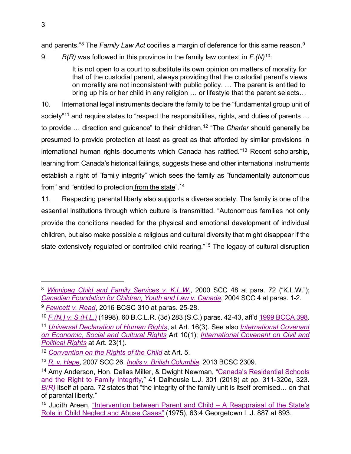and parents."[8](#page-7-0) The *Family Law Act* codifies a margin of deference for this same reason. [9](#page-7-1)

9. *B(R)* was followed in this province in the family law context in *F.(N)*[10](#page-7-2):

It is not open to a court to substitute its own opinion on matters of morality for that of the custodial parent, always providing that the custodial parent's views on morality are not inconsistent with public policy. … The parent is entitled to bring up his or her child in any religion … or lifestyle that the parent selects…

10. International legal instruments declare the family to be the "fundamental group unit of society"<sup>[11](#page-7-3)</sup> and require states to "respect the responsibilities, rights, and duties of parents ... to provide … direction and guidance" to their children.[12](#page-7-4) "The *Charter* should generally be presumed to provide protection at least as great as that afforded by similar provisions in international human rights documents which Canada has ratified."[13](#page-7-5) Recent scholarship, learning from Canada's historical failings, suggests these and other international instruments establish a right of "family integrity" which sees the family as "fundamentally autonomous from" and "entitled to protection<u> from the state</u>".<sup>[14](#page-7-6)</sup>

11. Respecting parental liberty also supports a diverse society. The family is one of the essential institutions through which culture is transmitted. "Autonomous families not only provide the conditions needed for the physical and emotional development of individual children, but also make possible a religious and cultural diversity that might disappear if the state extensively regulated or controlled child rearing."<sup>[15](#page-7-7)</sup> The legacy of cultural disruption

<span id="page-7-0"></span><sup>8</sup> *Winnipeg [Child and Family Services v. K.L.W.](https://scc-csc.lexum.com/scc-csc/scc-csc/en/item/1812/index.do)*, 2000 SCC 48 at para. 72 ("K.L.W."); *[Canadian Foundation for Children,](https://scc-csc.lexum.com/scc-csc/scc-csc/en/item/2115/index.do) Youth and Law v. Canada*, 2004 SCC 4 at paras. 1-2.

<span id="page-7-1"></span><sup>9</sup> *[Fawcett v. Read](http://canlii.ca/t/gngkz)*, 2016 BCSC 310 at paras. 25-28.

<span id="page-7-3"></span><span id="page-7-2"></span><sup>10</sup> *[F.\(N.\) v. S.\(H.L.\)](http://canlii.ca/t/1f6wq)* (1998), 60 B.C.L.R. (3d) 283 (S.C.) paras. 42-43, aff'd [1999 BCCA 398.](http://canlii.ca/t/1fc73) <sup>11</sup> *[Universal Declaration of Human Rights](https://www.un.org/en/universal-declaration-human-rights/)*, at Art. 16(3). See also *[International Covenant](https://treaties.un.org/doc/Treaties/1976/01/19760103%2009-57%20PM/Ch_IV_03.pdf)  [on Economic, Social and Cultural Rights](https://treaties.un.org/doc/Treaties/1976/01/19760103%2009-57%20PM/Ch_IV_03.pdf)* Art 10(1); *[International Covenant on Civil and](https://www.ohchr.org/en/professionalinterest/pages/ccpr.aspx)  [Political Rights](https://www.ohchr.org/en/professionalinterest/pages/ccpr.aspx)* at Art. 23(1).

<span id="page-7-4"></span><sup>12</sup> *[Convention on the Rights of the Child](https://www.ohchr.org/en/professionalinterest/pages/crc.aspx)* at Art. 5.

<span id="page-7-5"></span><sup>13</sup> *[R. v. Hape](https://scc-csc.lexum.com/scc-csc/scc-csc/en/item/2364/index.do)*, 2007 SCC 26. *[Inglis v. British Columbia](http://canlii.ca/t/g2d20)*, 2013 BCSC 2309.

<span id="page-7-6"></span><sup>&</sup>lt;sup>14</sup> Amy Anderson, Hon. Dallas Miller, & Dwight Newman, "Canada's Residential Schools [and the Right to Family Integrity,](https://digitalcommons.schulichlaw.dal.ca/cgi/viewcontent.cgi?article=2102&context=dlj)" 41 Dalhousie L.J. 301 (2018) at pp. 311-320e, 323. *[B\(R\)](https://scc-csc.lexum.com/scc-csc/scc-csc/en/1220/1/document.do)* itself at para. 72 states that "the integrity of the family unit is itself premised… on that of parental liberty."

<span id="page-7-7"></span><sup>&</sup>lt;sup>15</sup> Judith Areen, "Intervention between Parent and Child  $-$  A Reappraisal of the State's [Role in Child Neglect and Abuse Cases"](https://heinonline.org/HOL/PrintRequest?public=true&handle=hein.journals/glj63&div=56&start_page=887&collection=journals&set_as_cursor=0&men_tab=srchresults&print=section&format=PDFsearchable&submit=Print%2FDownload) (1975), 63:4 Georgetown L.J. 887 at 893.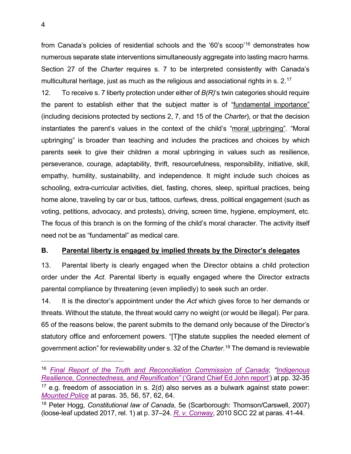from Canada's policies of residential schools and the '60's scoop' [16](#page-8-1) demonstrates how numerous separate state interventions simultaneously aggregate into lasting macro harms. Section 27 of the *Charter* requires s. 7 to be interpreted consistently with Canada's multicultural heritage, just as much as the religious and associational rights in s. 2. $^{\mathsf{17}}$  $^{\mathsf{17}}$  $^{\mathsf{17}}$ 

12. To receive s. 7 liberty protection under either of *B(R)*'s twin categories should require the parent to establish either that the subject matter is of "fundamental importance" (including decisions protected by sections 2, 7, and 15 of the *Charter*), or that the decision instantiates the parent's values in the context of the child's "moral upbringing". "Moral upbringing" is broader than teaching and includes the practices and choices by which parents seek to give their children a moral upbringing in values such as resilience, perseverance, courage, adaptability, thrift, resourcefulness, responsibility, initiative, skill, empathy, humility, sustainability, and independence. It might include such choices as schooling, extra-curricular activities, diet, fasting, chores, sleep, spiritual practices, being home alone, traveling by car or bus, tattoos, curfews, dress, political engagement (such as voting, petitions, advocacy, and protests), driving, screen time, hygiene, employment, etc. The focus of this branch is on the forming of the child's moral character. The activity itself need not be as "fundamental" as medical care.

## <span id="page-8-0"></span>**B. Parental liberty is engaged by implied threats by the Director's delegates**

13. Parental liberty is clearly engaged when the Director obtains a child protection order under the *Act*. Parental liberty is equally engaged where the Director extracts parental compliance by threatening (even impliedly) to seek such an order.

14. It is the director's appointment under the *Act* which gives force to her demands or threats. Without the statute, the threat would carry no weight (or would be illegal). Per para. 65 of the reasons below, the parent submits to the demand only because of the Director's statutory office and enforcement powers. "[T]he statute supplies the needed element of government action" for reviewability under s. 32 of the *Charter*. [18](#page-8-3) The demand is reviewable

<span id="page-8-2"></span><span id="page-8-1"></span><sup>16</sup> *[Final Report of the Truth and Reconciliation Commission of Canada](http://nctr.ca/assets/reports/Final%20Reports/Executive_Summary_English_Web.pdf)*; *["Indigenous](http://fns.bc.ca/wp-content/uploads/2017/01/Final-Report-of-Grand-Chief-Ed-John-re-Indig-Child-Welfare-in-BC-November-2016.pdf)  [Resilience, Connectedness, and Reunification"](http://fns.bc.ca/wp-content/uploads/2017/01/Final-Report-of-Grand-Chief-Ed-John-re-Indig-Child-Welfare-in-BC-November-2016.pdf)* ('Grand Chief Ed John report') at pp. 32-35  $17$  e.g. freedom of association in s. 2(d) also serves as a bulwark against state power: *[Mounted Police](https://scc-csc.lexum.com/scc-csc/scc-csc/en/item/14577/index.do)* at paras. 35, 56, 57, 62, 64.

<span id="page-8-3"></span><sup>18</sup> Peter Hogg, *Constitutional law of Canada*, 5e (Scarborough: Thomson/Carswell, 2007) (loose-leaf updated 2017, rel. 1) at p. 37–24. *[R. v. Conway](https://scc-csc.lexum.com/scc-csc/scc-csc/en/item/7863/index.do)*, 2010 SCC 22 at paras. 41-44.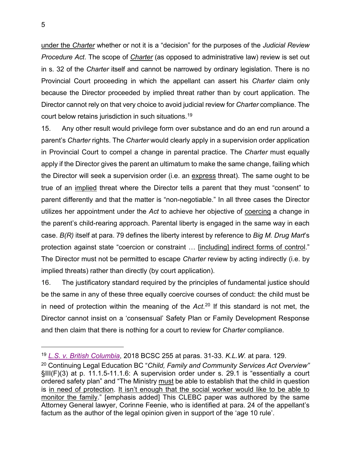under the *Charter* whether or not it is a "decision" for the purposes of the *Judicial Review Procedure Act*. The scope of *Charter* (as opposed to administrative law) review is set out in s. 32 of the *Charter* itself and cannot be narrowed by ordinary legislation. There is no Provincial Court proceeding in which the appellant can assert his *Charter* claim only because the Director proceeded by implied threat rather than by court application. The Director cannot rely on that very choice to avoid judicial review for *Charter* compliance. The court below retains jurisdiction in such situations.[19](#page-9-0)

15. Any other result would privilege form over substance and do an end run around a parent's *Charter* rights. The *Charter* would clearly apply in a supervision order application in Provincial Court to compel a change in parental practice. The *Charter* must equally apply if the Director gives the parent an ultimatum to make the same change, failing which the Director will seek a supervision order (i.e. an express threat). The same ought to be true of an implied threat where the Director tells a parent that they must "consent" to parent differently and that the matter is "non-negotiable." In all three cases the Director utilizes her appointment under the *Act* to achieve her objective of coercing a change in the parent's child-rearing approach. Parental liberty is engaged in the same way in each case. *B(R)* itself at para. 79 defines the liberty interest by reference to *Big M. Drug Mart*'s protection against state "coercion or constraint ... [including] indirect forms of control." The Director must not be permitted to escape *Charter* review by acting indirectly (i.e. by implied threats) rather than directly (by court application).

16. The justificatory standard required by the principles of fundamental justice should be the same in any of these three equally coercive courses of conduct: the child must be in need of protection within the meaning of the *Act*. [20](#page-9-1) If this standard is not met, the Director cannot insist on a 'consensual' Safety Plan or Family Development Response and then claim that there is nothing for a court to review for *Charter* compliance.

<span id="page-9-0"></span><sup>19</sup> *[L.S. v. British Columbia](http://canlii.ca/t/hqjnr)*, 2018 BCSC 255 at paras. 31-33. *K.L.W.* at para. 129.

<span id="page-9-1"></span><sup>20</sup> Continuing Legal Education BC "*Child, Family and Community Services Act Overview"* §III(F)(3) at p. 11.1.5-11.1.6: A supervision order under s. 29.1 is "essentially a court ordered safety plan" and "The Ministry must be able to establish that the child in question is in need of protection. It isn't enough that the social worker would like to be able to monitor the family." [emphasis added] This CLEBC paper was authored by the same Attorney General lawyer, Corinne Feenie, who is identified at para. 24 of the appellant's factum as the author of the legal opinion given in support of the 'age 10 rule'.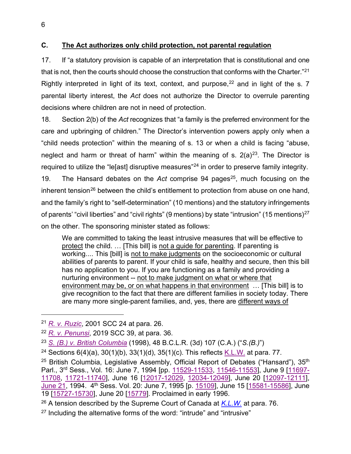# <span id="page-10-0"></span>**C. The Act authorizes only child protection, not parental regulation**

17. If "a statutory provision is capable of an interpretation that is constitutional and one that is not, then the courts should choose the construction that conforms with the Charter."<sup>[21](#page-10-1)</sup> Rightly interpreted in light of its text, context, and purpose,  $22$  and in light of the s. 7 parental liberty interest, the *Act* does not authorize the Director to overrule parenting decisions where children are not in need of protection.

18. Section 2(b) of the *Act* recognizes that "a family is the preferred environment for the care and upbringing of children." The Director's intervention powers apply only when a "child needs protection" within the meaning of s. 13 or when a child is facing "abuse, neglect and harm or threat of harm" within the meaning of s.  $2(a)^{23}$  $2(a)^{23}$  $2(a)^{23}$ . The Director is required to utilize the "le[ast] disruptive measures"<sup>[24](#page-10-4)</sup> in order to preserve family integrity. 19. The Hansard debates on the *Act* comprise 94 pages<sup>[25](#page-10-5)</sup>, much focusing on the inherent tension<sup>[26](#page-10-6)</sup> between the child's entitlement to protection from abuse on one hand, and the family's right to "self-determination" (10 mentions) and the statutory infringements of parents' "civil liberties" and "civil rights" (9 mentions) by state "intrusion" (15 mentions)<sup>[27](#page-10-7)</sup> on the other. The sponsoring minister stated as follows:

We are committed to taking the least intrusive measures that will be effective to protect the child. … [This bill] is not a guide for parenting. If parenting is working.... This [bill] is not to make judgments on the socioeconomic or cultural abilities of parents to parent. If your child is safe, healthy and secure, then this bill has no application to you. If you are functioning as a family and providing a nurturing environment -- not to make judgment on what or where that environment may be, or on what happens in that environment … [This bill] is to give recognition to the fact that there are different families in society today. There are many more single-parent families, and, yes, there are different ways of

<span id="page-10-1"></span><sup>21</sup> *[R. v. Ruzic](https://scc-csc.lexum.com/scc-csc/scc-csc/en/item/1861/index.do)*, 2001 SCC 24 at para. 26.

<span id="page-10-2"></span><sup>22</sup> *[R. v. Penunsi](https://scc-csc.lexum.com/scc-csc/scc-csc/en/item/17862/index.do)*, 2019 SCC 39, at para. 36.

<span id="page-10-3"></span><sup>23</sup> *[S. \(B.\) v. British Columbia](http://canlii.ca/t/1dz13)* (1998), 48 B.C.L.R. (3d) 107 (C.A.) ("*S.(B.)*")

<span id="page-10-4"></span><sup>&</sup>lt;sup>24</sup> Sections  $6(4)(a)$ ,  $30(1)(b)$ ,  $33(1)(d)$ ,  $35(1)(c)$ . This reflects [K.L.W.](https://scc-csc.lexum.com/scc-csc/scc-csc/en/item/1812/index.do) at para. 77.

<span id="page-10-5"></span><sup>&</sup>lt;sup>25</sup> British Columbia, Legislative Assembly, Official Report of Debates ("Hansard"),  $35<sup>th</sup>$ Parl., 3rd Sess., Vol. 16: June 7, 1994 [pp. [11529-11533,](https://www.leg.bc.ca/documents-data/debate-transcripts/35th-parliament/3rd-session/19940607am-Hansard-v16n4) [11546-11553\]](https://www.leg.bc.ca/documents-data/debate-transcripts/35th-parliament/3rd-session/19940607pm-Hansard-v16n5), June 9 [\[11697-](https://www.leg.bc.ca/documents-data/debate-transcripts/35th-parliament/3rd-session/19940609am-Hansard-v16n8) [11708,](https://www.leg.bc.ca/documents-data/debate-transcripts/35th-parliament/3rd-session/19940609am-Hansard-v16n8) [11721-11740\]](https://www.leg.bc.ca/documents-data/debate-transcripts/35th-parliament/3rd-session/19940609pm-Hansard-v16n8), June 16 [\[12017-12029,](https://www.leg.bc.ca/documents-data/debate-transcripts/35th-parliament/3rd-session/19940616am-Hansard-v16n14) [12034-12049\]](https://www.leg.bc.ca/documents-data/debate-transcripts/35th-parliament/3rd-session/19940616pm-Hansard-v16n15), June 20 [\[12097-12111\]](https://www.leg.bc.ca/documents-data/debate-transcripts/35th-parliament/3rd-session/19940620pm-Hansard-v16n17), [June 21,](https://www.leg.bc.ca/documents-data/debate-transcripts/35th-parliament/3rd-session/19940621pm-Hansard-v16n19) 1994. 4th Sess. Vol. 20: June 7, 1995 [p. [15109\]](https://www.leg.bc.ca/documents-data/debate-transcripts/35th-parliament/4th-session/19950607pm1-Hansard-v20n21), June 15 [\[15581-15586\]](https://www.leg.bc.ca/documents-data/debate-transcripts/35th-parliament/4th-session/19950615pm1-Hansard-v21n5), June 19 [\[15727-15730\]](https://www.leg.bc.ca/documents-data/debate-transcripts/35th-parliament/4th-session/19950619pm2-Hansard-v21n7), June 20 [\[15779\]](https://www.leg.bc.ca/documents-data/debate-transcripts/35th-parliament/4th-session/19950620pm1-Hansard-v21n9). Proclaimed in early 1996.

<span id="page-10-6"></span><sup>26</sup> A tension described by the Supreme Court of Canada at *[K.L.W.](https://scc-csc.lexum.com/scc-csc/scc-csc/en/item/1812/index.do)* at para. 76.

<span id="page-10-7"></span> $27$  Including the alternative forms of the word: "intrude" and "intrusive"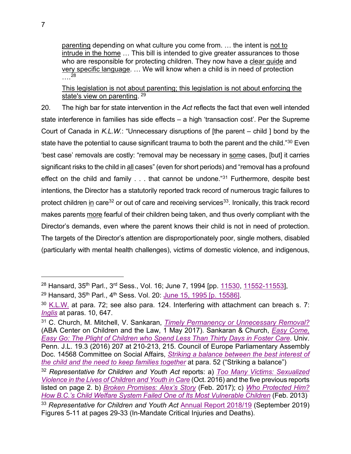parenting depending on what culture you come from. … the intent is not to intrude in the home … This bill is intended to give greater assurances to those who are responsible for protecting children. They now have a clear guide and very specific language. … We will know when a child is in need of protection ….[28](#page-11-0)

This legislation is not about parenting; this legislation is not about enforcing the state's view on parenting. [29](#page-11-1)

20. The high bar for state intervention in the *Act* reflects the fact that even well intended state interference in families has side effects – a high 'transaction cost'. Per the Supreme Court of Canada in *K.L.W.*: "Unnecessary disruptions of [the parent – child ] bond by the state have the potential to cause significant trauma to both the parent and the child."[30](#page-11-2) Even 'best case' removals are costly: "removal may be necessary in some cases, [but] it carries significant risks to the child in all cases" (even for short periods) and "removal has a profound effect on the child and family . . . that cannot be undone."<sup>[31](#page-11-3)</sup> Furthermore, despite best intentions, the Director has a statutorily reported track record of numerous tragic failures to protect children in care<sup>[32](#page-11-4)</sup> or out of care and receiving services<sup>33</sup>. Ironically, this track record makes parents more fearful of their children being taken, and thus overly compliant with the Director's demands, even where the parent knows their child is not in need of protection. The targets of the Director's attention are disproportionately poor, single mothers, disabled (particularly with mental health challenges), victims of domestic violence, and indigenous,

<span id="page-11-0"></span><sup>28</sup> Hansard, 35<sup>th</sup> Parl., 3<sup>rd</sup> Sess., Vol. 16; June 7, 1994 [pp. [11530,](https://www.leg.bc.ca/documents-data/debate-transcripts/35th-parliament/3rd-session/19940607am-Hansard-v16n4) [11552-11553\]](https://www.leg.bc.ca/documents-data/debate-transcripts/35th-parliament/3rd-session/19940607pm-Hansard-v16n5),

<span id="page-11-1"></span><sup>29</sup> Hansard, 35<sup>th</sup> Parl., 4<sup>th</sup> Sess. Vol. 20: [June 15, 1995 \[p. 15586\].](https://www.leg.bc.ca/documents-data/debate-transcripts/35th-parliament/4th-session/19950615pm1-Hansard-v21n5)

<span id="page-11-2"></span> $30$  [K.L.W.](https://scc-csc.lexum.com/scc-csc/scc-csc/en/item/1812/index.do) at para. 72; see also para. 124. Interfering with attachment can breach s. 7: *[Inglis](http://canlii.ca/t/g2d20)* at paras. 10, 647.

<span id="page-11-3"></span><sup>31</sup> C. Church, M. Mitchell, V. Sankaran, *Timely [Permanency or Unnecessary Removal?](https://www.americanbar.org/groups/public_interest/child_law/resources/child_law_practiceonline/child_law_practice/vol-36/may-june-2017/timely-permanency-or-unnecessary-removal--tips-for-advocates-for/)* (ABA Center on Children and the Law, 1 May 2017). Sankaran & Church, *[Easy Come,](https://scholarship.law.upenn.edu/cgi/viewcontent.cgi?article=1197&context=jlasc)  [Easy Go: The Plight of Children who Spend Less Than Thirty Days in Foster Care](https://scholarship.law.upenn.edu/cgi/viewcontent.cgi?article=1197&context=jlasc)*. Univ. Penn. J.L. 19.3 (2016) 207 at 210-213, 215. Council of Europe Parliamentary Assembly Doc. 14568 Committee on Social Affairs, *[Striking a balance between the best interest of](http://assembly.coe.int/nw/xml/XRef/Xref-XML2HTML-en.asp?fileid=24770&lang=en)  [the child and the need to keep families together](http://assembly.coe.int/nw/xml/XRef/Xref-XML2HTML-en.asp?fileid=24770&lang=en)* at para. 52 ("Striking a balance")

<span id="page-11-4"></span><sup>32</sup> *Representative for Children and Youth Act* reports: a) *[Too Many Victims: Sexualized](https://rcybc.ca/wp-content/uploads/2019/04/rcy_toomanyvictimsfinal.pdf)  [Violence in the Lives of Children and Youth in Care](https://rcybc.ca/wp-content/uploads/2019/04/rcy_toomanyvictimsfinal.pdf)* (Oct. 2016) and the five previous reports listed on page 2. b) *[Broken Promises: Alex's Story](https://rcybc.ca/wp-content/uploads/2019/04/rcy-brokenpromises-alexsstory-feb2017-lo_web-2.pdf)* (Feb. 2017); c) *[Who Protected Him?](https://rcybc.ca/wp-content/uploads/2019/05/who_protected_him.pdf)  How B.C.'s Child Welfare [System Failed One of Its Most Vulnerable Children](https://rcybc.ca/wp-content/uploads/2019/05/who_protected_him.pdf)* (Feb. 2013)

<span id="page-11-5"></span><sup>33</sup> *Representative for Children and Youth Act* [Annual Report 2018/19](https://rcybc.ca/wp-content/uploads/2019/10/rcy-arsp-2018-2019_final.pdf) (September 2019) Figures 5-11 at pages 29-33 (In-Mandate Critical Injuries and Deaths).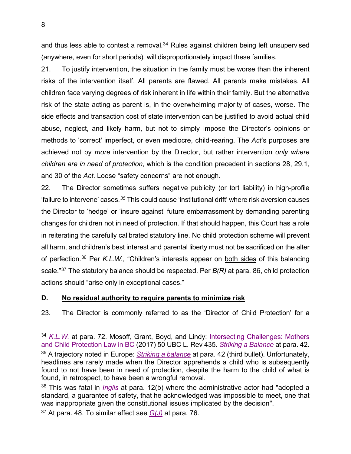and thus less able to contest a removal. [34](#page-12-1) Rules against children being left unsupervised (anywhere, even for short periods), will disproportionately impact these families.

21. To justify intervention, the situation in the family must be worse than the inherent risks of the intervention itself. All parents are flawed. All parents make mistakes. All children face varying degrees of risk inherent in life within their family. But the alternative risk of the state acting as parent is, in the overwhelming majority of cases, worse. The side effects and transaction cost of state intervention can be justified to avoid actual child abuse, neglect, and likely harm, but not to simply impose the Director's opinions or methods to 'correct' imperfect, or even mediocre, child-rearing. The *Act*'s purposes are achieved not by *more* intervention by the Director, but rather intervention *only where children are in need of protection*, which is the condition precedent in sections 28, 29.1, and 30 of the *Act*. Loose "safety concerns" are not enough.

22. The Director sometimes suffers negative publicity (or tort liability) in high-profile 'failure to intervene' cases.*[35](#page-12-2)* This could cause 'institutional drift' where risk aversion causes the Director to 'hedge' or 'insure against' future embarrassment by demanding parenting changes for children not in need of protection. If that should happen, this Court has a role in reiterating the carefully calibrated statutory line. No child protection scheme will prevent all harm, and children's best interest and parental liberty must not be sacrificed on the alter of perfection.<sup>[36](#page-12-3)</sup> Per K.L.W., "Children's interests appear on both sides of this balancing scale."[37](#page-12-4) The statutory balance should be respected. Per *B(R)* at para. 86, child protection actions should "arise only in exceptional cases."

# <span id="page-12-0"></span>**D. No residual authority to require parents to minimize risk**

23. The Director is commonly referred to as the 'Director of Child Protection' for a

<span id="page-12-2"></span><span id="page-12-1"></span><sup>34</sup> *[K.L.W.](https://scc-csc.lexum.com/scc-csc/scc-csc/en/item/1812/index.do)* at para. 72. Mosoff, Grant, Boyd, and Lindy: [Intersecting Challenges: Mothers](https://nextcanada.westlaw.com/Document/I883fd971faf811e9adfea82903531a62/View/FullText.html?listSource=Search&navigationPath=Search%2fv1%2fresults%2fnavigation%2fi0ad62d3400000171cd589eb65e12e2a9%3fNav%3dCAN_JOURNALS%26fragmentIdentifier%3dI883fd971faf811e9adfea82903531a62%26parentRank%3d0%26startIndex%3d1%26contextData%3d%2528sc.Search%2529%26transitionType%3dSearchItem&list=CAN_JOURNALS&rank=3&listPageSource=910398ed41e29324fa25f0246f03f7e4&originationContext=docHeader&contextData=(sc.Search)&transitionType=Document&needToInjectTerms=False&docSource=c9d660196dd84a729204e7486bfd1415)  [and Child Protection Law in BC](https://nextcanada.westlaw.com/Document/I883fd971faf811e9adfea82903531a62/View/FullText.html?listSource=Search&navigationPath=Search%2fv1%2fresults%2fnavigation%2fi0ad62d3400000171cd589eb65e12e2a9%3fNav%3dCAN_JOURNALS%26fragmentIdentifier%3dI883fd971faf811e9adfea82903531a62%26parentRank%3d0%26startIndex%3d1%26contextData%3d%2528sc.Search%2529%26transitionType%3dSearchItem&list=CAN_JOURNALS&rank=3&listPageSource=910398ed41e29324fa25f0246f03f7e4&originationContext=docHeader&contextData=(sc.Search)&transitionType=Document&needToInjectTerms=False&docSource=c9d660196dd84a729204e7486bfd1415) (2017) 50 UBC L. Rev 435. *[Striking a Balance](http://assembly.coe.int/nw/xml/XRef/Xref-XML2HTML-en.asp?fileid=24770&lang=en)* at para. 42. <sup>35</sup> A trajectory noted in Europe: *[Striking a balance](http://assembly.coe.int/nw/xml/XRef/Xref-XML2HTML-en.asp?fileid=24770&lang=en)* at para. 42 (third bullet). Unfortunately, headlines are rarely made when the Director apprehends a child who is subsequently found to not have been in need of protection, despite the harm to the child of what is found, in retrospect, to have been a wrongful removal.

<span id="page-12-3"></span><sup>36</sup> This was fatal in *[Inglis](http://canlii.ca/t/g2d20)* at para. 12(b) where the administrative actor had "adopted a standard, a guarantee of safety, that he acknowledged was impossible to meet, one that was inappropriate given the constitutional issues implicated by the decision".

<span id="page-12-4"></span><sup>37</sup> At para. 48. To similar effect see *[G\(J\)](https://scc-csc.lexum.com/scc-csc/scc-csc/en/item/1725/index.do)* at para. 76.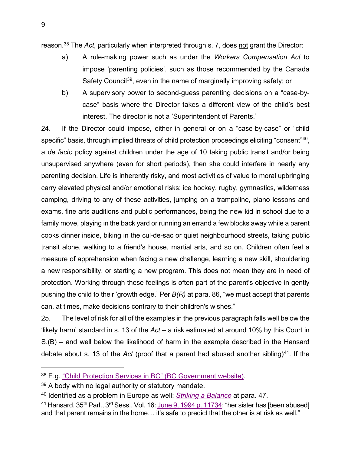reason[.38](#page-13-0) The *Act*, particularly when interpreted through s. 7, does not grant the Director:

- a) A rule-making power such as under the *Workers Compensation Act* to impose 'parenting policies', such as those recommended by the Canada Safety Council<sup>39</sup>, even in the name of marginally improving safety; or
- b) A supervisory power to second-guess parenting decisions on a "case-bycase" basis where the Director takes a different view of the child's best interest. The director is not a 'Superintendent of Parents.'

24. If the Director could impose, either in general or on a "case-by-case" or "child specific" basis, through implied threats of child protection proceedings eliciting "consent"<sup>40</sup>, a *de facto* policy against children under the age of 10 taking public transit and/or being unsupervised anywhere (even for short periods), then she could interfere in nearly any parenting decision. Life is inherently risky, and most activities of value to moral upbringing carry elevated physical and/or emotional risks: ice hockey, rugby, gymnastics, wilderness camping, driving to any of these activities, jumping on a trampoline, piano lessons and exams, fine arts auditions and public performances, being the new kid in school due to a family move, playing in the back yard or running an errand a few blocks away while a parent cooks dinner inside, biking in the cul-de-sac or quiet neighbourhood streets, taking public transit alone, walking to a friend's house, martial arts, and so on. Children often feel a measure of apprehension when facing a new challenge, learning a new skill, shouldering a new responsibility, or starting a new program. This does not mean they are in need of protection. Working through these feelings is often part of the parent's objective in gently pushing the child to their 'growth edge.' Per *B(R)* at para. 86, "we must accept that parents can, at times, make decisions contrary to their children's wishes."

25. The level of risk for all of the examples in the previous paragraph falls well below the 'likely harm' standard in s. 13 of the *Act* – a risk estimated at around 10% by this Court in S.(B) – and well below the likelihood of harm in the example described in the Hansard debate about s. 13 of the *Act* (proof that a parent had abused another sibling)<sup>41</sup>. If the

<span id="page-13-0"></span><sup>38</sup> E.g. ["Child Protection Services in BC" \(BC Government website\).](https://www2.gov.bc.ca/gov/content/safety/public-safety/protecting-children)

<span id="page-13-1"></span> $39$  A body with no legal authority or statutory mandate.

<span id="page-13-2"></span><sup>40</sup> Identified as a problem in Europe as well: *[Striking a Balance](http://assembly.coe.int/nw/xml/XRef/Xref-XML2HTML-en.asp?fileid=24770&lang=en)* at para. 47.

<span id="page-13-3"></span><sup>&</sup>lt;sup>41</sup> Hansard,  $35<sup>th</sup>$  Parl.,  $3<sup>rd</sup>$  Sess., Vol. 16: [June 9, 1994 p. 11734:](https://www.leg.bc.ca/documents-data/debate-transcripts/35th-parliament/3rd-session/19940609pm-Hansard-v16n8) "her sister has [been abused] and that parent remains in the home… it's safe to predict that the other is at risk as well."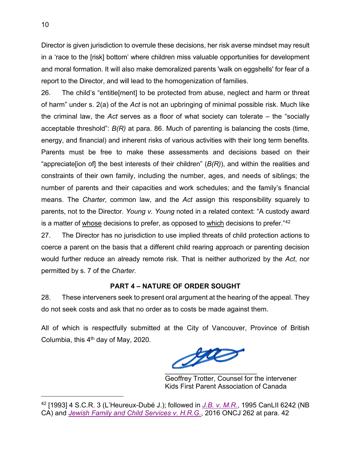Director is given jurisdiction to overrule these decisions, her risk averse mindset may result in a 'race to the [risk] bottom' where children miss valuable opportunities for development and moral formation. It will also make demoralized parents 'walk on eggshells' for fear of a report to the Director, and will lead to the homogenization of families.

26. The child's "entitle[ment] to be protected from abuse, neglect and harm or threat of harm" under s. 2(a) of the *Act* is not an upbringing of minimal possible risk. Much like the criminal law, the *Act* serves as a floor of what society can tolerate – the "socially acceptable threshold": *B(R)* at para. 86. Much of parenting is balancing the costs (time, energy, and financial) and inherent risks of various activities with their long term benefits. Parents must be free to make these assessments and decisions based on their "appreciate[ion of] the best interests of their children" (*B(R)*), and within the realities and constraints of their own family, including the number, ages, and needs of siblings; the number of parents and their capacities and work schedules; and the family's financial means. The *Charter*, common law, and the *Act* assign this responsibility squarely to parents, not to the Director. *Young v. Young* noted in a related context: "A custody award is a matter of whose decisions to prefer, as opposed to which decisions to prefer."42

27. The Director has no jurisdiction to use implied threats of child protection actions to coerce a parent on the basis that a different child rearing approach or parenting decision would further reduce an already remote risk. That is neither authorized by the *Act*, nor permitted by s. 7 of the *Charter*.

# **PART 4 – NATURE OF ORDER SOUGHT**

<span id="page-14-0"></span>28. These interveners seek to present oral argument at the hearing of the appeal. They do not seek costs and ask that no order as to costs be made against them.

All of which is respectfully submitted at the City of Vancouver, Province of British Columbia, this  $4<sup>th</sup>$  day of May, 2020.

Jac  $\overline{\phantom{a}}$  ,  $\overline{\phantom{a}}$  ,  $\overline{\phantom{a}}$  ,  $\overline{\phantom{a}}$  ,  $\overline{\phantom{a}}$  ,  $\overline{\phantom{a}}$  ,  $\overline{\phantom{a}}$  ,  $\overline{\phantom{a}}$  ,  $\overline{\phantom{a}}$  ,  $\overline{\phantom{a}}$  ,  $\overline{\phantom{a}}$  ,  $\overline{\phantom{a}}$  ,  $\overline{\phantom{a}}$  ,  $\overline{\phantom{a}}$  ,  $\overline{\phantom{a}}$  ,  $\overline{\phantom{a}}$ 

Geoffrey Trotter, Counsel for the intervener Kids First Parent Association of Canada

<span id="page-14-1"></span><sup>42</sup> [1993] 4 S.C.R. 3 (L'Heureux-Dubé J.); followed in *[J.B. v. M.R.](http://canlii.ca/t/1p529)*, 1995 CanLII 6242 (NB CA) and *[Jewish Family and Child Services](http://canlii.ca/t/gr73g) v. H.R.G.*, 2016 ONCJ 262 at para. 42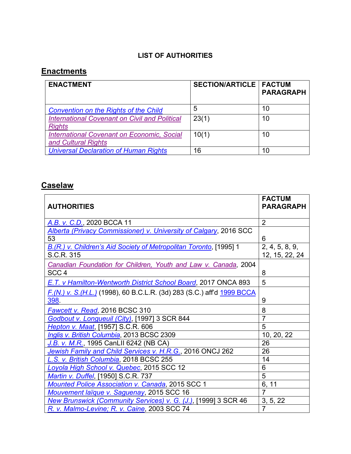# **LIST OF AUTHORITIES**

# <span id="page-15-0"></span>**Enactments**

| <b>ENACTMENT</b>                                                         | <b>SECTION/ARTICLE   FACTUM</b> | <b>PARAGRAPH</b> |
|--------------------------------------------------------------------------|---------------------------------|------------------|
| <b>Convention on the Rights of the Child</b>                             | 5                               | 10               |
| <b>International Covenant on Civil and Political</b><br><b>Rights</b>    | 23(1)                           | 10               |
| <b>International Covenant on Economic, Social</b><br>and Cultural Rights | 10(1)                           | 10               |
| <b>Universal Declaration of Human Rights</b>                             | 16                              | 10               |

# **Caselaw**

|                                                                          | <b>FACTUM</b>    |
|--------------------------------------------------------------------------|------------------|
| <b>AUTHORITIES</b>                                                       | <b>PARAGRAPH</b> |
| A.B. v. C.D., 2020 BCCA 11                                               | $\overline{2}$   |
| Alberta (Privacy Commissioner) v. University of Calgary, 2016 SCC        |                  |
| 53                                                                       | 6                |
| B.(R.) v. Children's Aid Society of Metropolitan Toronto, [1995] 1       | 2, 4, 5, 8, 9,   |
| S.C.R. 315                                                               | 12, 15, 22, 24   |
| Canadian Foundation for Children, Youth and Law v. Canada, 2004          |                  |
| SCC <sub>4</sub>                                                         | 8                |
| E.T. v Hamilton-Wentworth District School Board, 2017 ONCA 893           | 5                |
| F. (N.) v. S. (H.L.) (1998), 60 B.C.L.R. (3d) 283 (S.C.) aff'd 1999 BCCA |                  |
| 398.                                                                     | 9                |
| <b>Fawcett v. Read, 2016 BCSC 310</b>                                    | 8                |
| Godbout v. Longueuil (City), [1997] 3 SCR 844                            | $\overline{7}$   |
| <b>Hepton v. Maat, [1957] S.C.R. 606</b>                                 | 5                |
| Inglis v. British Columbia, 2013 BCSC 2309                               | 10, 20, 22       |
| J.B. v. M.R., 1995 CanLII 6242 (NB CA)                                   | 26               |
| Jewish Family and Child Services v. H.R.G., 2016 ONCJ 262                | 26               |
| L.S. v. British Columbia, 2018 BCSC 255                                  | 14               |
| Loyola High School v. Quebec, 2015 SCC 12                                | 6                |
| <b>Martin v. Duffel, [1950] S.C.R. 737</b>                               | 5                |
| <b>Mounted Police Association v. Canada, 2015 SCC 1</b>                  | 6, 11            |
| Mouvement laïque v. Saguenay, 2015 SCC 16                                | $\overline{7}$   |
| New Brunswick (Community Services) v. G. (J.), [1999] 3 SCR 46           | 3, 5, 22         |
| R. v. Malmo-Levine; R. v. Caine, 2003 SCC 74                             | $\overline{7}$   |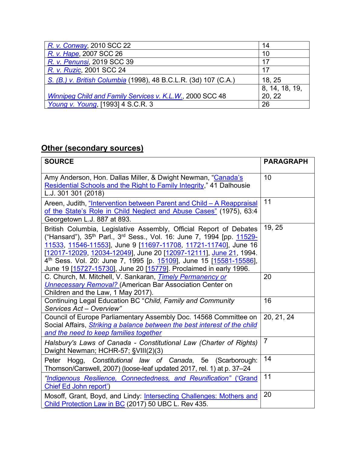| R. v. Conway, 2010 SCC 22                                        | 14             |
|------------------------------------------------------------------|----------------|
| R. v. Hape, 2007 SCC 26                                          | 10             |
| R. v. Penunsi, 2019 SCC 39                                       | 17             |
| R. v. Ruzic, 2001 SCC 24                                         | 17             |
| S. (B.) v. British Columbia (1998), 48 B.C.L.R. (3d) 107 (C.A.)  | 18, 25         |
|                                                                  | 8, 14, 18, 19, |
| <b>Winnipeg Child and Family Services v. K.L.W., 2000 SCC 48</b> | 20, 22         |
| Young v. Young, [1993] 4 S.C.R. 3                                | 26             |

# **Other (secondary sources)**

| <b>SOURCE</b>                                                                                                                                                                                                                                                                                                                                                                                                                                                      | <b>PARAGRAPH</b> |
|--------------------------------------------------------------------------------------------------------------------------------------------------------------------------------------------------------------------------------------------------------------------------------------------------------------------------------------------------------------------------------------------------------------------------------------------------------------------|------------------|
| Amy Anderson, Hon. Dallas Miller, & Dwight Newman, "Canada's<br>Residential Schools and the Right to Family Integrity," 41 Dalhousie<br>L.J. 301 301 (2018)                                                                                                                                                                                                                                                                                                        | 10               |
| Areen, Judith, "Intervention between Parent and Child - A Reappraisal<br>of the State's Role in Child Neglect and Abuse Cases" (1975), 63:4<br>Georgetown L.J. 887 at 893.                                                                                                                                                                                                                                                                                         | 11               |
| British Columbia, Legislative Assembly, Official Report of Debates<br>("Hansard"), 35 <sup>th</sup> Parl., 3 <sup>rd</sup> Sess., Vol. 16: June 7, 1994 [pp. 11529-<br>11533, 11546-11553], June 9 [11697-11708, 11721-11740], June 16<br>[12017-12029, 12034-12049], June 20 [12097-12111], June 21, 1994.<br>4 <sup>th</sup> Sess. Vol. 20: June 7, 1995 [p. 15109], June 15 [15581-15586],<br>June 19 [15727-15730], June 20 [15779]. Proclaimed in early 1996. | 19, 25           |
| C. Church, M. Mitchell, V. Sankaran, Timely Permanency or<br><b>Unnecessary Removal?</b> (American Bar Association Center on<br>Children and the Law, 1 May 2017).                                                                                                                                                                                                                                                                                                 | 20               |
| Continuing Legal Education BC "Child, Family and Community<br>Services Act - Overview"                                                                                                                                                                                                                                                                                                                                                                             | 16               |
| Council of Europe Parliamentary Assembly Doc. 14568 Committee on<br>Social Affairs, <i>Striking a balance between the best interest of the child</i><br>and the need to keep families together                                                                                                                                                                                                                                                                     | 20, 21, 24       |
| Halsbury's Laws of Canada - Constitutional Law (Charter of Rights)<br>Dwight Newman; HCHR-57; §VIII(2)(3)                                                                                                                                                                                                                                                                                                                                                          | $\overline{7}$   |
| Hogg, Constitutional law of Canada, 5e (Scarborough:<br>Peter<br>Thomson/Carswell, 2007) (loose-leaf updated 2017, rel. 1) at p. 37–24                                                                                                                                                                                                                                                                                                                             | 14               |
| "Indigenous Resilience, Connectedness, and Reunification" ('Grand<br>Chief Ed John report')                                                                                                                                                                                                                                                                                                                                                                        | 11               |
| Mosoff, Grant, Boyd, and Lindy: <b>Intersecting Challenges: Mothers and</b><br>Child Protection Law in BC (2017) 50 UBC L. Rev 435.                                                                                                                                                                                                                                                                                                                                | 20               |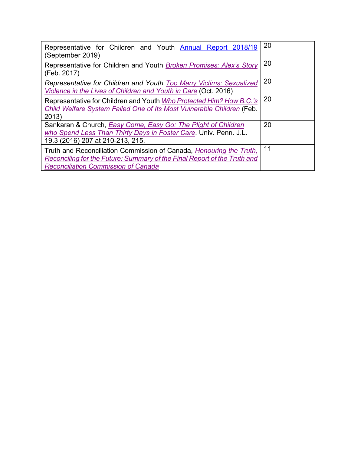| Representative for Children and Youth <b>Annual Report 2018/19</b><br>(September 2019)                                                                                                                | 20 |
|-------------------------------------------------------------------------------------------------------------------------------------------------------------------------------------------------------|----|
| Representative for Children and Youth Broken Promises: Alex's Story<br>(Feb. 2017)                                                                                                                    | 20 |
| Representative for Children and Youth Too Many Victims: Sexualized<br>Violence in the Lives of Children and Youth in Care (Oct. 2016)                                                                 | 20 |
| Representative for Children and Youth Who Protected Him? How B.C.'s<br>Child Welfare System Failed One of Its Most Vulnerable Children (Feb.<br>2013)                                                 | 20 |
| Sankaran & Church, <b>Easy Come, Easy Go: The Plight of Children</b><br>who Spend Less Than Thirty Days in Foster Care. Univ. Penn. J.L.<br>19.3 (2016) 207 at 210-213, 215.                          | 20 |
| Truth and Reconciliation Commission of Canada, <i>Honouring the Truth</i> ,<br>Reconciling for the Future: Summary of the Final Report of the Truth and<br><b>Reconciliation Commission of Canada</b> | 11 |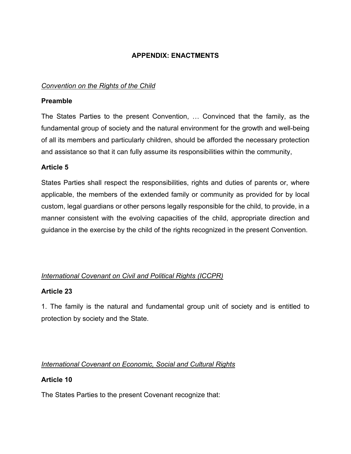# **APPENDIX: ENACTMENTS**

## <span id="page-18-0"></span>*Convention on the Rights of the Child*

## **Preamble**

The States Parties to the present Convention, … Convinced that the family, as the fundamental group of society and the natural environment for the growth and well-being of all its members and particularly children, should be afforded the necessary protection and assistance so that it can fully assume its responsibilities within the community,

## **Article 5**

States Parties shall respect the responsibilities, rights and duties of parents or, where applicable, the members of the extended family or community as provided for by local custom, legal guardians or other persons legally responsible for the child, to provide, in a manner consistent with the evolving capacities of the child, appropriate direction and guidance in the exercise by the child of the rights recognized in the present Convention.

# *International Covenant on Civil and Political Rights (ICCPR)*

## **Article 23**

1. The family is the natural and fundamental group unit of society and is entitled to protection by society and the State.

# *International Covenant on Economic, Social and Cultural Rights*

# **Article 10**

The States Parties to the present Covenant recognize that: